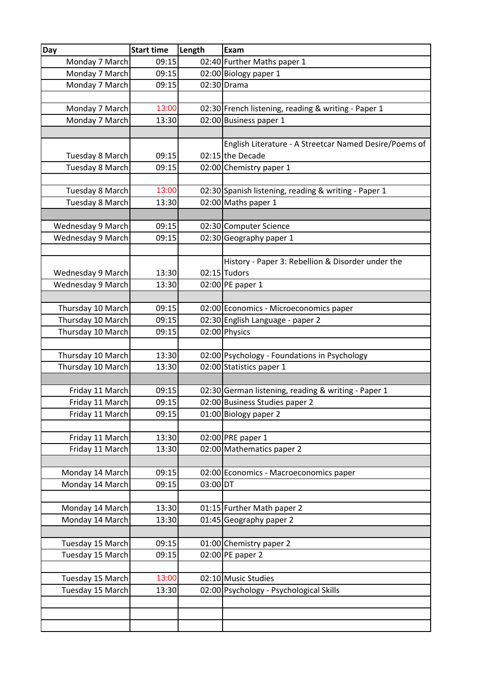| Day               | <b>Start time</b> | Length   | Exam                                                                     |
|-------------------|-------------------|----------|--------------------------------------------------------------------------|
| Monday 7 March    | 09:15             |          | 02:40 Further Maths paper 1                                              |
| Monday 7 March    | 09:15             |          | 02:00 Biology paper 1                                                    |
| Monday 7 March    | 09:15             |          | 02:30 Drama                                                              |
|                   |                   |          |                                                                          |
| Monday 7 March    | 13:00             |          | 02:30 French listening, reading & writing - Paper 1                      |
| Monday 7 March    | 13:30             |          | 02:00 Business paper 1                                                   |
|                   |                   |          |                                                                          |
|                   |                   |          | English Literature - A Streetcar Named Desire/Poems of                   |
| Tuesday 8 March   | 09:15             |          | 02:15 the Decade                                                         |
| Tuesday 8 March   | 09:15             |          | 02:00 Chemistry paper 1                                                  |
|                   |                   |          |                                                                          |
| Tuesday 8 March   | 13:00             |          | 02:30 Spanish listening, reading & writing - Paper 1                     |
| Tuesday 8 March   | 13:30             |          | 02:00 Maths paper 1                                                      |
|                   |                   |          |                                                                          |
| Wednesday 9 March | 09:15             |          | 02:30 Computer Science                                                   |
| Wednesday 9 March | 09:15             |          | 02:30 Geography paper 1                                                  |
|                   |                   |          |                                                                          |
|                   |                   |          | History - Paper 3: Rebellion & Disorder under the                        |
| Wednesday 9 March | 13:30             |          | 02:15 Tudors                                                             |
| Wednesday 9 March | 13:30             |          | 02:00 PE paper 1                                                         |
|                   |                   |          |                                                                          |
| Thursday 10 March | 09:15             |          | 02:00 Economics - Microeconomics paper                                   |
| Thursday 10 March | 09:15             |          | 02:30 English Language - paper 2                                         |
| Thursday 10 March | 09:15             |          | 02:00 Physics                                                            |
|                   |                   |          |                                                                          |
| Thursday 10 March | 13:30<br>13:30    |          | 02:00 Psychology - Foundations in Psychology<br>02:00 Statistics paper 1 |
| Thursday 10 March |                   |          |                                                                          |
| Friday 11 March   | 09:15             |          | 02:30 German listening, reading & writing - Paper 1                      |
| Friday 11 March   | 09:15             |          | 02:00 Business Studies paper 2                                           |
| Friday 11 March   | 09:15             |          | 01:00 Biology paper 2                                                    |
|                   |                   |          |                                                                          |
| Friday 11 March   | 13:30             |          | 02:00 PRE paper 1                                                        |
| Friday 11 March   | 13:30             |          | 02:00 Mathematics paper 2                                                |
|                   |                   |          |                                                                          |
| Monday 14 March   | 09:15             |          | 02:00 Economics - Macroeconomics paper                                   |
| Monday 14 March   | 09:15             | 03:00 DT |                                                                          |
|                   |                   |          |                                                                          |
| Monday 14 March   | 13:30             |          | 01:15 Further Math paper 2                                               |
| Monday 14 March   | 13:30             |          | 01:45 Geography paper 2                                                  |
|                   |                   |          |                                                                          |
| Tuesday 15 March  | 09:15             |          | 01:00 Chemistry paper 2                                                  |
| Tuesday 15 March  | 09:15             |          | $02:00$ PE paper 2                                                       |
|                   |                   |          |                                                                          |
| Tuesday 15 March  | 13:00             |          | 02:10 Music Studies                                                      |
| Tuesday 15 March  | 13:30             |          | 02:00 Psychology - Psychological Skills                                  |
|                   |                   |          |                                                                          |
|                   |                   |          |                                                                          |
|                   |                   |          |                                                                          |